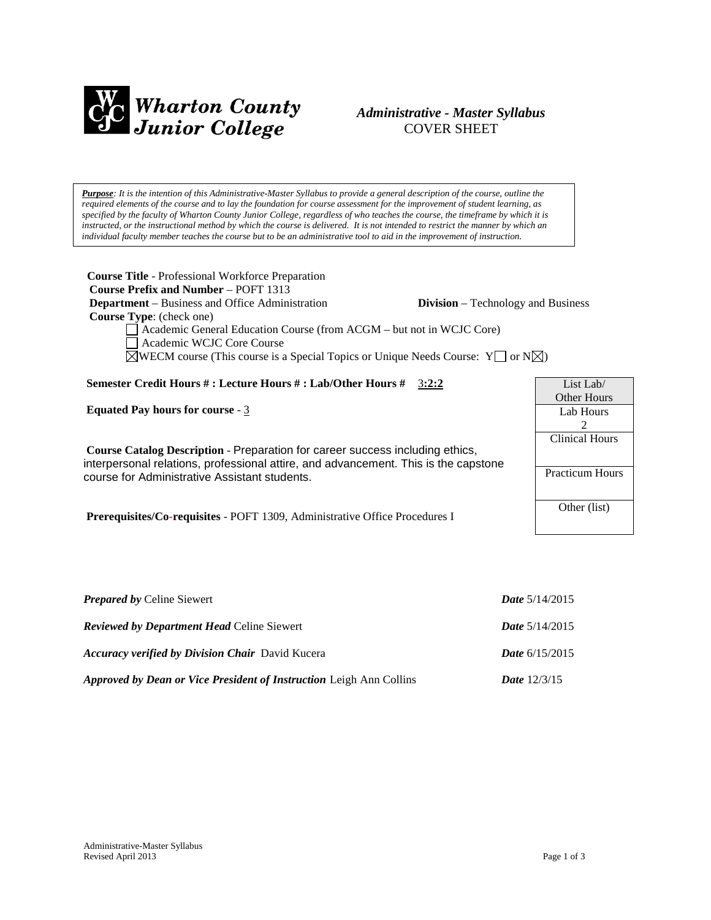

# *Administrative - Master Syllabus*  COVER SHEET

*Purpose: It is the intention of this Administrative-Master Syllabus to provide a general description of the course, outline the required elements of the course and to lay the foundation for course assessment for the improvement of student learning, as specified by the faculty of Wharton County Junior College, regardless of who teaches the course, the timeframe by which it is instructed, or the instructional method by which the course is delivered. It is not intended to restrict the manner by which an individual faculty member teaches the course but to be an administrative tool to aid in the improvement of instruction.*

**Course Title** - Professional Workforce Preparation  **Course Prefix and Number** – POFT 1313 **Department** – Business and Office Administration **Division** – Technology and Business  **Course Type**: (check one) Academic General Education Course (from ACGM – but not in WCJC Core) Academic WCJC Core Course  $\boxtimes$ WECM course (This course is a Special Topics or Unique Needs Course: Y  $\Box$  or N $\boxtimes$ ) **Semester Credit Hours # : Lecture Hours # : Lab/Other Hours #** 3**:2:2 Equated Pay hours for course** - 3 **Course Catalog Description** - Preparation for career success including ethics, interpersonal relations, professional attire, and advancement. This is the capstone course for Administrative Assistant students. List Lab/ Other Hours Lab Hours 2 Clinical Hours Practicum Hours

**Prerequisites/Co-requisites** - POFT 1309, Administrative Office Procedures I

| <b>Prepared by Celine Siewert</b>                                          | <i>Date</i> $5/14/2015$ |
|----------------------------------------------------------------------------|-------------------------|
| <b>Reviewed by Department Head Celine Siewert</b>                          | <b>Date</b> $5/14/2015$ |
| <b>Accuracy verified by Division Chair</b> David Kucera                    | <i>Date</i> $6/15/2015$ |
| <b>Approved by Dean or Vice President of Instruction Leigh Ann Collins</b> | <b>Date</b> $12/3/15$   |

Other (list)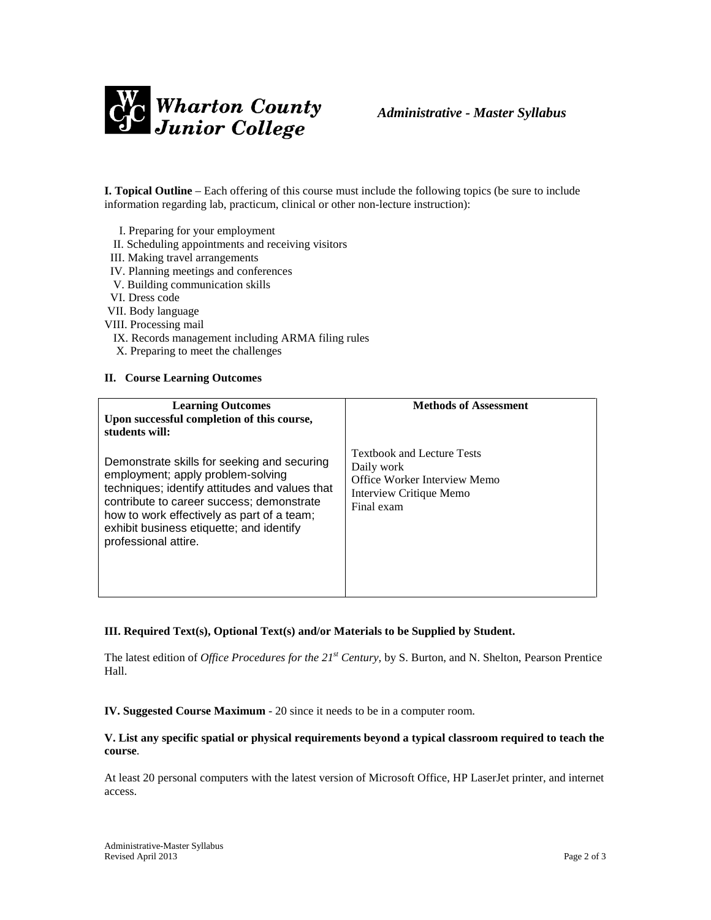

**I. Topical Outline** – Each offering of this course must include the following topics (be sure to include information regarding lab, practicum, clinical or other non-lecture instruction):

- I. Preparing for your employment
- II. Scheduling appointments and receiving visitors
- III. Making travel arrangements
- IV. Planning meetings and conferences
- V. Building communication skills
- VI. Dress code
- VII. Body language
- VIII. Processing mail
	- IX. Records management including ARMA filing rules
	- X. Preparing to meet the challenges

#### **II. Course Learning Outcomes**

| <b>Learning Outcomes</b><br>Upon successful completion of this course,<br>students will:                                                                                                                                                                                                          | <b>Methods of Assessment</b>                                                                                             |
|---------------------------------------------------------------------------------------------------------------------------------------------------------------------------------------------------------------------------------------------------------------------------------------------------|--------------------------------------------------------------------------------------------------------------------------|
| Demonstrate skills for seeking and securing<br>employment; apply problem-solving<br>techniques; identify attitudes and values that<br>contribute to career success; demonstrate<br>how to work effectively as part of a team;<br>exhibit business etiquette; and identify<br>professional attire. | <b>Textbook and Lecture Tests</b><br>Daily work<br>Office Worker Interview Memo<br>Interview Critique Memo<br>Final exam |

#### **III. Required Text(s), Optional Text(s) and/or Materials to be Supplied by Student.**

The latest edition of *Office Procedures for the 21st Century,* by S. Burton, and N. Shelton, Pearson Prentice Hall.

**IV. Suggested Course Maximum** - 20 since it needs to be in a computer room.

#### **V. List any specific spatial or physical requirements beyond a typical classroom required to teach the course**.

At least 20 personal computers with the latest version of Microsoft Office, HP LaserJet printer, and internet access.